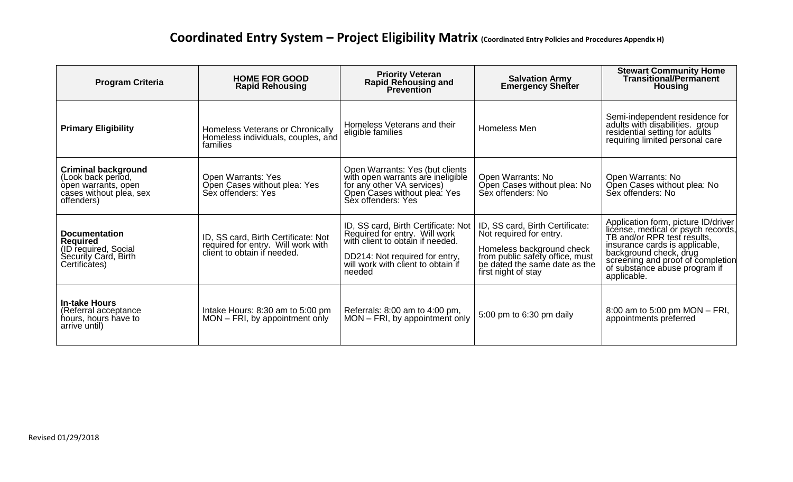## **Coordinated Entry System – Project Eligibility Matrix (Coordinated Entry Policies and Procedures Appendix H)**

| <b>Program Criteria</b>                                                                                          | <b>HOME FOR GOOD</b><br><b>Rapid Rehousing</b>                                                           | <b>Priority Veteran</b><br><b>Rapid Rehousing and</b><br><b>Prevention</b>                                                                                                                 | <b>Salvation Army</b><br><b>Emergency Shelter</b>                                                                                                                                  | <b>Stewart Community Home</b><br><b>Transitional/Permanent</b><br><b>Housing</b>                                                                                                                                                                          |
|------------------------------------------------------------------------------------------------------------------|----------------------------------------------------------------------------------------------------------|--------------------------------------------------------------------------------------------------------------------------------------------------------------------------------------------|------------------------------------------------------------------------------------------------------------------------------------------------------------------------------------|-----------------------------------------------------------------------------------------------------------------------------------------------------------------------------------------------------------------------------------------------------------|
| <b>Primary Eligibility</b>                                                                                       | Homeless Veterans or Chronically<br>Homeless individuals, couples, and<br>families                       | Homeless Veterans and their<br>eligible families                                                                                                                                           | Homeless Men                                                                                                                                                                       | Semi-independent residence for<br>adults with disabilities. group<br>residential setting for adults<br>requiring limited personal care                                                                                                                    |
| <b>Criminal background</b><br>(Look back period,<br>open warrants, open<br>cases without plea, sex<br>offenders) | Open Warrants: Yes<br>Open Cases without plea: Yes<br>Sex offenders: Yes                                 | Open Warrants: Yes (but clients<br>with open warrants are ineligible<br>for any other VA services)<br>Open Cases without plea: Yes<br>Sex offenders: Yes                                   | Open Warrants: No<br>Open Cases without plea: No<br>Sex offenders: No                                                                                                              | Open Warrants: No<br>Open Cases without plea: No<br>Sex offenders: No                                                                                                                                                                                     |
| <b>Documentation</b><br><b>Required</b><br>(ID required, Social<br>Security Card, Birth<br>Certificates)         | ID, SS card, Birth Certificate: Not<br>required for entry. Will work with<br>client to obtain if needed. | ID, SS card, Birth Certificate: Not<br>Required for entry. Will work<br>with client to obtain if needed.<br>DD214: Not required for entry,<br>will work with client to obtain if<br>needed | ID, SS card, Birth Certificate:<br>Not required for entry.<br>Homeless background check<br>from public safety office, must<br>be dated the same date as the<br>first night of stay | Application form, picture ID/driver<br>license, medical or psych records,<br>TB and/or RPR test results,<br>insurance cards is applicable,<br>background check, drug<br>screening and proof of completion<br>of substance abuse program if<br>applicable. |
| <b>In-take Hours</b><br>(Referral acceptance<br>hours, hours have to<br>arrive until)                            | Intake Hours: 8:30 am to 5:00 pm<br>MON – FRI, by appointment only                                       | Referrals: 8:00 am to 4:00 pm,<br>MON - FRI, by appointment only                                                                                                                           | 5:00 pm to 6:30 pm daily                                                                                                                                                           | 8:00 am to 5:00 pm MON - FRI,<br>appointments preferred                                                                                                                                                                                                   |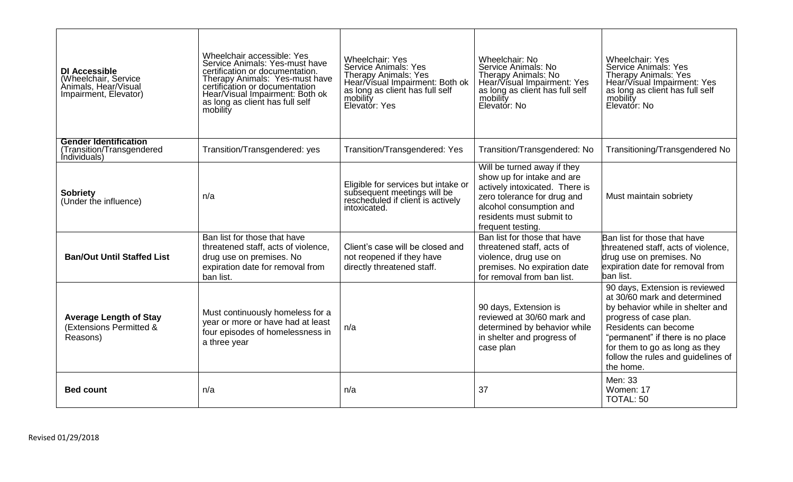| <b>DI Accessible</b><br>(Wheelchair, Service<br>Animals, Hear/Visual<br>Impairment, Elevator) | Wheelchair accessible: Yes<br>Service Animals: Yes-must have<br>certification or documentation.<br>Therapy Animals: Yes-must have<br>certification or documentation<br>Hear/Visual Impairment: Both ok<br>as long as client has full self<br>mobility | <b>Wheelchair: Yes</b><br><b>Service Animals: Yes</b><br><b>Therapy Animals: Yes</b><br>Hear/Visual Impairment: Both ok<br>as long as client has full self<br>mobility<br>Elevator: Yes | Wheelchair: No<br>Service Animals: No<br><b>Therapy Animals: No</b><br>Hear/Visual Impairment: Yes<br>as long as client has full self<br>mobility<br>Elevator: No                                      | <b>Wheelchair: Yes</b><br><b>Service Animals: Yes</b><br><b>Therapy Animals: Yes</b><br>Hear/Visual Impairment: Yes<br>as long as client has full self<br>mobility<br>Elevatór: No                                                                                            |
|-----------------------------------------------------------------------------------------------|-------------------------------------------------------------------------------------------------------------------------------------------------------------------------------------------------------------------------------------------------------|-----------------------------------------------------------------------------------------------------------------------------------------------------------------------------------------|--------------------------------------------------------------------------------------------------------------------------------------------------------------------------------------------------------|-------------------------------------------------------------------------------------------------------------------------------------------------------------------------------------------------------------------------------------------------------------------------------|
| <b>Gender Identification</b><br>(Transition/Transgendered<br>Individuals)                     | Transition/Transgendered: yes                                                                                                                                                                                                                         | Transition/Transgendered: Yes                                                                                                                                                           | Transition/Transgendered: No                                                                                                                                                                           | Transitioning/Transgendered No                                                                                                                                                                                                                                                |
| <b>Sobriety</b><br>(Under the influence)                                                      | n/a                                                                                                                                                                                                                                                   | Eligible for services but intake or<br>subsequent meetings will be<br>rescheduled if client is actively<br>intoxicated.                                                                 | Will be turned away if they<br>show up for intake and are<br>actively intoxicated. There is<br>zero tolerance for drug and<br>alcohol consumption and<br>residents must submit to<br>frequent testing. | Must maintain sobriety                                                                                                                                                                                                                                                        |
| <b>Ban/Out Until Staffed List</b>                                                             | Ban list for those that have<br>threatened staff, acts of violence,<br>drug use on premises. No<br>expiration date for removal from<br>ban list.                                                                                                      | Client's case will be closed and<br>not reopened if they have<br>directly threatened staff.                                                                                             | Ban list for those that have<br>threatened staff, acts of<br>violence, drug use on<br>premises. No expiration date<br>for removal from ban list.                                                       | Ban list for those that have<br>threatened staff, acts of violence,<br>drug use on premises. No<br>expiration date for removal from<br>ban list.                                                                                                                              |
| <b>Average Length of Stay</b><br>(Extensions Permitted &<br>Reasons)                          | Must continuously homeless for a<br>year or more or have had at least<br>four episodes of homelessness in<br>a three year                                                                                                                             | n/a                                                                                                                                                                                     | 90 days, Extension is<br>reviewed at 30/60 mark and<br>determined by behavior while<br>in shelter and progress of<br>case plan                                                                         | 90 days, Extension is reviewed<br>at 30/60 mark and determined<br>by behavior while in shelter and<br>progress of case plan.<br>Residents can become<br>"permanent" if there is no place<br>for them to go as long as they<br>follow the rules and guidelines of<br>the home. |
| <b>Bed count</b>                                                                              | n/a                                                                                                                                                                                                                                                   | n/a                                                                                                                                                                                     | 37                                                                                                                                                                                                     | Men: 33<br>Women: 17<br>TOTAL: 50                                                                                                                                                                                                                                             |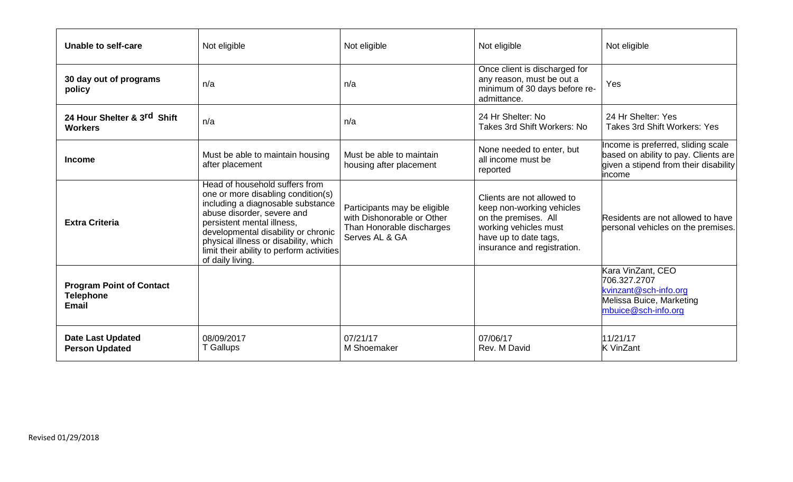| Unable to self-care                                                 | Not eligible                                                                                                                                                                                                                                                                                                           | Not eligible                                                                                              | Not eligible                                                                                                                                                     | Not eligible                                                                                                                   |
|---------------------------------------------------------------------|------------------------------------------------------------------------------------------------------------------------------------------------------------------------------------------------------------------------------------------------------------------------------------------------------------------------|-----------------------------------------------------------------------------------------------------------|------------------------------------------------------------------------------------------------------------------------------------------------------------------|--------------------------------------------------------------------------------------------------------------------------------|
| 30 day out of programs<br>policy                                    | n/a                                                                                                                                                                                                                                                                                                                    | n/a                                                                                                       | Once client is discharged for<br>any reason, must be out a<br>minimum of 30 days before re-<br>admittance.                                                       | Yes                                                                                                                            |
| 24 Hour Shelter & 3rd Shift<br><b>Workers</b>                       | n/a                                                                                                                                                                                                                                                                                                                    | n/a                                                                                                       | 24 Hr Shelter: No<br>Takes 3rd Shift Workers: No                                                                                                                 | 24 Hr Shelter: Yes<br><b>Takes 3rd Shift Workers: Yes</b>                                                                      |
| <b>Income</b>                                                       | Must be able to maintain housing<br>after placement                                                                                                                                                                                                                                                                    | Must be able to maintain<br>housing after placement                                                       | None needed to enter, but<br>all income must be<br>reported                                                                                                      | Income is preferred, sliding scale<br>based on ability to pay. Clients are<br>given a stipend from their disability<br>lincome |
| <b>Extra Criteria</b>                                               | Head of household suffers from<br>one or more disabling condition(s)<br>including a diagnosable substance<br>abuse disorder, severe and<br>persistent mental illness,<br>developmental disability or chronic<br>physical illness or disability, which<br>limit their ability to perform activities<br>of daily living. | Participants may be eligible<br>with Dishonorable or Other<br>Than Honorable discharges<br>Serves AL & GA | Clients are not allowed to<br>keep non-working vehicles<br>on the premises. All<br>working vehicles must<br>have up to date tags,<br>insurance and registration. | Residents are not allowed to have<br>personal vehicles on the premises.                                                        |
| <b>Program Point of Contact</b><br><b>Telephone</b><br><b>Email</b> |                                                                                                                                                                                                                                                                                                                        |                                                                                                           |                                                                                                                                                                  | Kara VinZant, CEO<br>706.327.2707<br>kvinzant@sch-info.org<br>Melissa Buice, Marketing<br>mbuice@sch-info.org                  |
| <b>Date Last Updated</b><br><b>Person Updated</b>                   | 08/09/2017<br><b>T</b> Gallups                                                                                                                                                                                                                                                                                         | 07/21/17<br>M Shoemaker                                                                                   | 07/06/17<br>Rev. M David                                                                                                                                         | 11/21/17<br><b>K</b> VinZant                                                                                                   |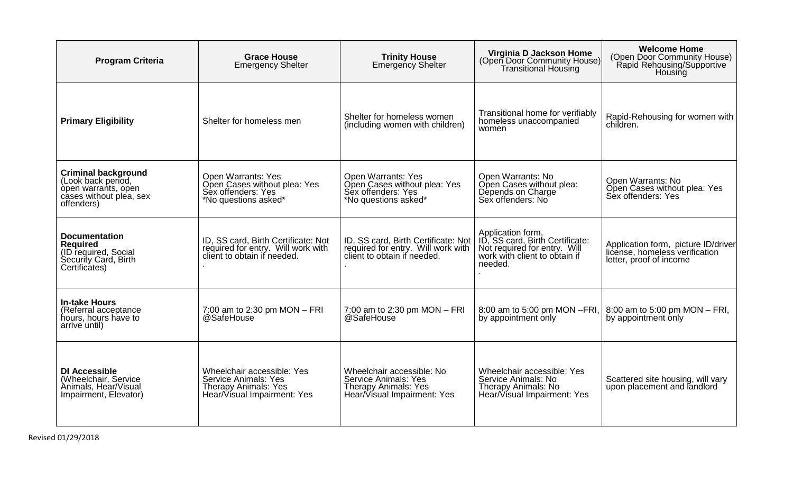| <b>Program Criteria</b>                                                                                          | <b>Grace House</b><br><b>Emergency Shelter</b>                                                                          | <b>Trinity House</b><br><b>Emergency Shelter</b>                                                                | Virginia D Jackson Home<br>(Open Door Community House)<br><b>Transitional Housing</b>                                            | <b>Welcome Home</b><br>(Open Door Community House)<br>Rapid Rehousing/Supportive<br>Housing      |
|------------------------------------------------------------------------------------------------------------------|-------------------------------------------------------------------------------------------------------------------------|-----------------------------------------------------------------------------------------------------------------|----------------------------------------------------------------------------------------------------------------------------------|--------------------------------------------------------------------------------------------------|
| <b>Primary Eligibility</b>                                                                                       | Shelter for homeless men                                                                                                | Shelter for homeless women<br>(including women with children)                                                   | Transitional home for verifiably<br>homeless unaccompanied<br>women                                                              | Rapid-Rehousing for women with<br>children.                                                      |
| <b>Criminal background</b><br>(Look back period,<br>open warrants, open<br>cases without plea, sex<br>offenders) | <b>Open Warrants: Yes</b><br>Open Cases without plea: Yes<br>Sex offenders: Yes<br>*No questions asked*                 | <b>Open Warrants: Yes</b><br>Open Cases without plea: Yes<br>Sex offenders: Yes<br>*No questions asked*         | Open Warrants: No<br>Open Cases without plea:<br>Depends on Charge<br>Sex offenders: No                                          | Open Warrants: No<br>Open Cases without plea: Yes<br>Sex offenders: Yes                          |
| <b>Documentation</b><br><b>Required</b><br>(ID required, Social<br>Security Card, Birth<br>Certificates)         | ID, SS card, Birth Certificate: Not<br>required for entry. Will work with<br>client to obtain if needed.                | ID, SS card, Birth Certificate: Not<br>required for entry. Will work with<br>client to obtain if needed.        | Application form,<br>ID, SS card, Birth Certificate:<br>Not required for entry. Will<br>work with client to obtain if<br>needed. | Application form, picture ID/driver<br>license, homeless verification<br>letter, proof of income |
| <b>In-take Hours</b><br>(Referral acceptance<br>hours, hours have to<br>arrive until)                            | 7:00 am to 2:30 pm $MON - FRI$<br>@SafeHouse                                                                            | 7:00 am to 2:30 pm $MON - FRI$<br>@SafeHouse                                                                    | 8:00 am to 5:00 pm MON - FRI,<br>by appointment only                                                                             | 8:00 am to 5:00 pm MON - FRI,<br>by appointment only                                             |
| <b>DI Accessible</b><br>(Wheelchair, Service<br>Animals, Hear/Visual<br>Impairment, Elevator)                    | Wheelchair accessible: Yes<br><b>Service Animals: Yes</b><br><b>Therapy Animals: Yes</b><br>Hear/Visual Impairment: Yes | Wheelchair accessible: No<br>Service Animals: Yes<br><b>Therapy Animals: Yes</b><br>Hear/Visual Impairment: Yes | Wheelchair accessible: Yes<br>Service Animals: No<br>Therapy Animals: No<br>Hear/Visual Impairment: Yes                          | Scattered site housing, will vary<br>upon placement and landlord                                 |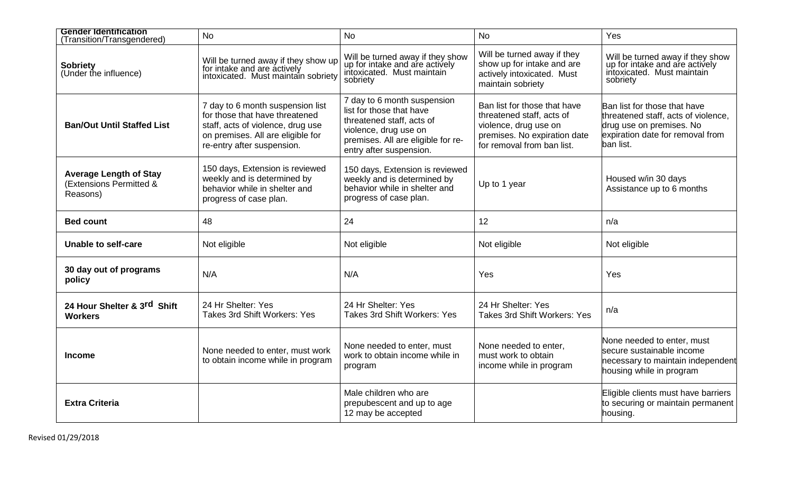| <b>Gender Identification</b><br>(Transition/Transgendered)           | <b>No</b>                                                                                                                                                                  | <b>No</b>                                                                                                                                                                      | <b>No</b>                                                                                                                                        | Yes                                                                                                                                              |
|----------------------------------------------------------------------|----------------------------------------------------------------------------------------------------------------------------------------------------------------------------|--------------------------------------------------------------------------------------------------------------------------------------------------------------------------------|--------------------------------------------------------------------------------------------------------------------------------------------------|--------------------------------------------------------------------------------------------------------------------------------------------------|
| <b>Sobriety</b><br>(Under the influence)                             | Will be turned away if they show up<br>for intake and are actively<br>intoxicated. Must maintain sobriety                                                                  | Will be turned away if they show<br>up for intake and are actively<br>intoxicated. Must maintain<br>sobriety                                                                   | Will be turned away if they<br>show up for intake and are<br>actively intoxicated. Must<br>maintain sobriety                                     | Will be turned away if they show<br>up for intake and are actively<br>intoxicated. Must maintain<br>sobriety                                     |
| <b>Ban/Out Until Staffed List</b>                                    | 7 day to 6 month suspension list<br>for those that have threatened<br>staff, acts of violence, drug use<br>on premises. All are eligible for<br>re-entry after suspension. | 7 day to 6 month suspension<br>list for those that have<br>threatened staff, acts of<br>violence, drug use on<br>premises. All are eligible for re-<br>entry after suspension. | Ban list for those that have<br>threatened staff, acts of<br>violence, drug use on<br>premises. No expiration date<br>for removal from ban list. | Ban list for those that have<br>threatened staff, acts of violence,<br>drug use on premises. No<br>expiration date for removal from<br>ban list. |
| <b>Average Length of Stay</b><br>(Extensions Permitted &<br>Reasons) | 150 days, Extension is reviewed<br>weekly and is determined by<br>behavior while in shelter and<br>progress of case plan.                                                  | 150 days, Extension is reviewed<br>weekly and is determined by<br>behavior while in shelter and<br>progress of case plan.                                                      | Up to 1 year                                                                                                                                     | Housed w/in 30 days<br>Assistance up to 6 months                                                                                                 |
| <b>Bed count</b>                                                     | 48                                                                                                                                                                         | 24                                                                                                                                                                             | 12                                                                                                                                               | n/a                                                                                                                                              |
| Unable to self-care                                                  | Not eligible                                                                                                                                                               | Not eligible                                                                                                                                                                   | Not eligible                                                                                                                                     | Not eligible                                                                                                                                     |
| 30 day out of programs<br>policy                                     | N/A                                                                                                                                                                        | N/A                                                                                                                                                                            | Yes                                                                                                                                              | Yes                                                                                                                                              |
| 24 Hour Shelter & 3rd Shift<br><b>Workers</b>                        | 24 Hr Shelter: Yes<br><b>Takes 3rd Shift Workers: Yes</b>                                                                                                                  | 24 Hr Shelter: Yes<br><b>Takes 3rd Shift Workers: Yes</b>                                                                                                                      | 24 Hr Shelter: Yes<br><b>Takes 3rd Shift Workers: Yes</b>                                                                                        | n/a                                                                                                                                              |
| <b>Income</b>                                                        | None needed to enter, must work<br>to obtain income while in program                                                                                                       | None needed to enter, must<br>work to obtain income while in<br>program                                                                                                        | None needed to enter,<br>must work to obtain<br>income while in program                                                                          | None needed to enter, must<br>secure sustainable income<br>necessary to maintain independent<br>housing while in program                         |
| <b>Extra Criteria</b>                                                |                                                                                                                                                                            | Male children who are<br>prepubescent and up to age<br>12 may be accepted                                                                                                      |                                                                                                                                                  | Eligible clients must have barriers<br>to securing or maintain permanent<br>housing.                                                             |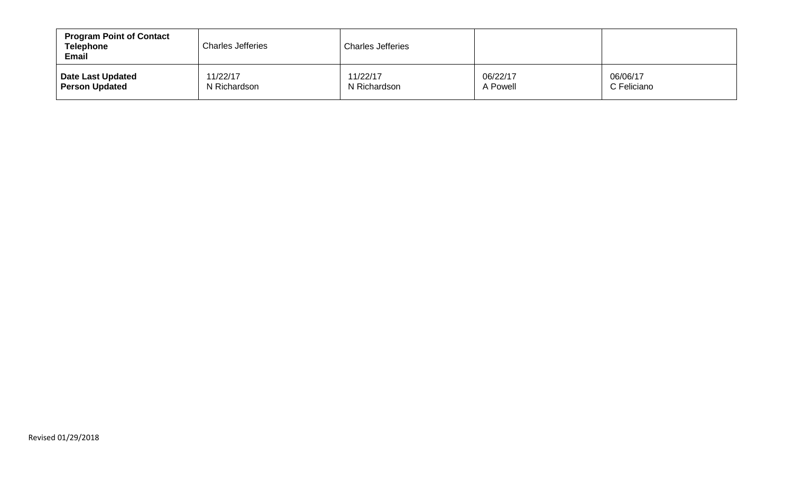| <b>Program Point of Contact</b><br><b>Telephone</b><br><b>Email</b> | <b>Charles Jefferies</b> | <b>Charles Jefferies</b> |          |             |
|---------------------------------------------------------------------|--------------------------|--------------------------|----------|-------------|
| Date Last Updated                                                   | 11/22/17                 | 11/22/17                 | 06/22/17 | 06/06/17    |
| <b>Person Updated</b>                                               | N Richardson             | N Richardson             | A Powell | C Feliciano |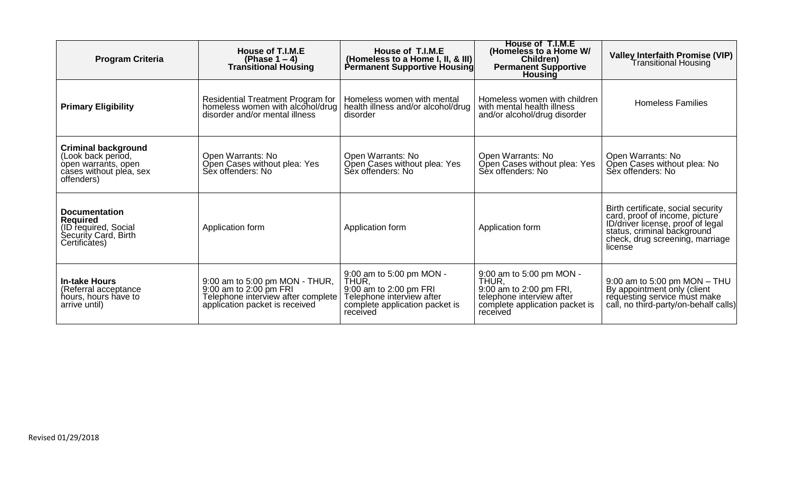| <b>Program Criteria</b>                                                                                          | House of T.I.M.E<br>(Phase $1-4$ )<br><b>Transitional Housing</b>                                                                | House of T.I.M.E<br>(Homeless to a Home I, II, & III)<br>Permanent Supportive Housing                                                  | House of T.I.M.E<br>(Homeless to a Home W/<br>Children)<br><b>Permanent Supportive</b><br><b>Housing</b>                                | <b>Valley Interfaith Promise (VIP)</b><br>Transitional Housing                                                                                                                         |
|------------------------------------------------------------------------------------------------------------------|----------------------------------------------------------------------------------------------------------------------------------|----------------------------------------------------------------------------------------------------------------------------------------|-----------------------------------------------------------------------------------------------------------------------------------------|----------------------------------------------------------------------------------------------------------------------------------------------------------------------------------------|
| <b>Primary Eligibility</b>                                                                                       | Residential Treatment Program for<br>homeless women with alcohol/drug<br>disorder and/or mental illness                          | Homeless women with mental<br>health illness and/or alcohol/drug<br>disorder                                                           | Homeless women with children<br>with mental health illness<br>and/or alcohol/drug disorder                                              | <b>Homeless Families</b>                                                                                                                                                               |
| <b>Criminal background</b><br>(Look back period,<br>open warrants, open<br>cases without plea, sex<br>offenders) | Open Warrants: No<br>Open Cases without plea: Yes<br>Sex offenders: No                                                           | Open Warrants: No<br>Open Cases without plea: Yes<br>Sex offenders: No                                                                 | Open Warrants: No<br>Open Cases without plea: Yes<br>Sex offenders: No                                                                  | Open Warrants: No<br>Open Cases without plea: No<br>Sex offenders: No                                                                                                                  |
| <b>Documentation</b><br><b>Required</b><br>(ID required, Social<br>Security Card, Birth<br>Certificates)         | Application form                                                                                                                 | Application form                                                                                                                       | Application form                                                                                                                        | Birth certificate, social security<br>card, proof of income, picture<br>ID/driver license, proof of legal<br>status, criminal background<br>check, drug screening, marriage<br>license |
| <b>In-take Hours</b><br>(Referral acceptance<br>hours, hours have to<br>arrive until)                            | 9:00 am to 5:00 pm MON - THUR,<br>9:00 am to 2:00 pm FRI<br>Telephone interview after complete<br>application packet is received | 9:00 am to 5:00 pm MON -<br>THUR,<br>9:00 am to 2:00 pm FRI<br>Telephone interview after<br>complete application packet is<br>received | 9:00 am to 5:00 pm MON -<br>THUR,<br>9:00 am to 2:00 pm FRI,<br>telephone interview after<br>complete application packet is<br>received | 9:00 am to 5:00 pm MON - THU<br>By appointment only (client<br>requesting service must make<br>call, no third-party/on-behalf calls)                                                   |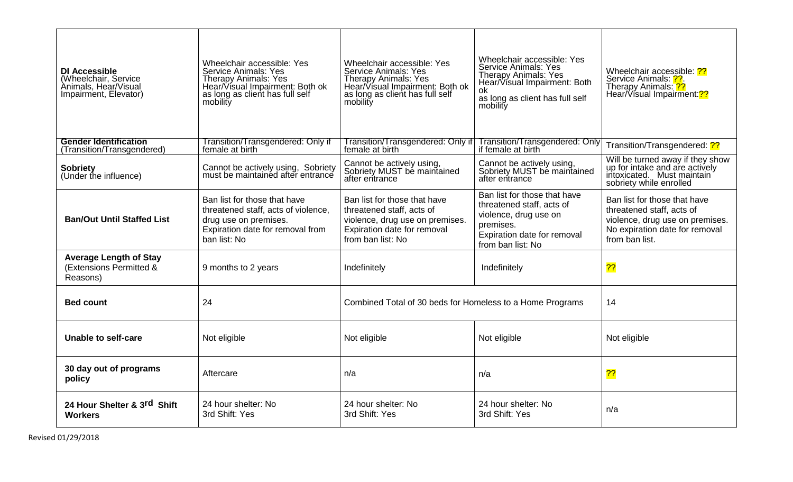| <b>DI Accessible</b><br>(Wheelchair, Service<br>Animals, Hear/Visual<br>Impairment, Elevator) | Wheelchair accessible: Yes<br><b>Service Animals: Yes</b><br><b>Therapy Animals: Yes</b><br>Hear/Visual Impairment: Both ok<br>as long as client has full self<br>mobility | Wheelchair accessible: Yes<br><b>Service Animals: Yes</b><br><b>Therapy Animals: Yes</b><br>Hear/Visual Impairment: Both ok<br>as long as client has full self<br>mobility | Wheelchair accessible: Yes<br><b>Service Animals: Yes</b><br><b>Therapy Animals: Yes</b><br>Hear/Visual Impairment: Both<br>0k<br>as long as client has full self<br>mobility | Wheelchair accessible: ??<br>Service Animals: ??.<br>Therapy Animals: ??<br>Hear/Visual Impairment: <sup>2?</sup>                                |
|-----------------------------------------------------------------------------------------------|----------------------------------------------------------------------------------------------------------------------------------------------------------------------------|----------------------------------------------------------------------------------------------------------------------------------------------------------------------------|-------------------------------------------------------------------------------------------------------------------------------------------------------------------------------|--------------------------------------------------------------------------------------------------------------------------------------------------|
| <b>Gender Identification</b><br>(Transition/Transgendered)                                    | Transition/Transgendered: Only if<br>female at birth                                                                                                                       | Transition/Transgendered: Only if<br>female at birth                                                                                                                       | Transition/Transgendered: Only<br>if female at birth                                                                                                                          | Transition/Transgendered: ??                                                                                                                     |
| <b>Sobriety</b><br>(Under the influence)                                                      | Cannot be actively using, Sobriety<br>must be maintained after entrance                                                                                                    | Cannot be actively using,<br>Sobriety MUST be maintained<br>after entrance                                                                                                 | Cannot be actively using,<br>Sobriety MUST be maintained<br>after entrance                                                                                                    | Will be turned away if they show<br>up for intake and are actively<br>intoxicated. Must maintain<br>sobriety while enrolled                      |
| <b>Ban/Out Until Staffed List</b>                                                             | Ban list for those that have<br>threatened staff, acts of violence,<br>drug use on premises.<br>Expiration date for removal from<br>ban list: No                           | Ban list for those that have<br>threatened staff, acts of<br>violence, drug use on premises.<br>Expiration date for removal<br>from ban list: No                           | Ban list for those that have<br>threatened staff, acts of<br>violence, drug use on<br>premises.<br>Expiration date for removal<br>from ban list: No                           | Ban list for those that have<br>threatened staff, acts of<br>violence, drug use on premises.<br>No expiration date for removal<br>from ban list. |
| <b>Average Length of Stay</b><br>(Extensions Permitted &<br>Reasons)                          | 9 months to 2 years                                                                                                                                                        | Indefinitely                                                                                                                                                               | Indefinitely                                                                                                                                                                  | $\overline{??}$                                                                                                                                  |
| <b>Bed count</b>                                                                              | 24                                                                                                                                                                         | Combined Total of 30 beds for Homeless to a Home Programs                                                                                                                  |                                                                                                                                                                               | 14                                                                                                                                               |
| <b>Unable to self-care</b>                                                                    | Not eligible                                                                                                                                                               | Not eligible                                                                                                                                                               | Not eligible                                                                                                                                                                  | Not eligible                                                                                                                                     |
| 30 day out of programs<br>policy                                                              | Aftercare                                                                                                                                                                  | n/a                                                                                                                                                                        | n/a                                                                                                                                                                           | $\overline{?}$                                                                                                                                   |
| 24 Hour Shelter & 3rd Shift<br><b>Workers</b>                                                 | 24 hour shelter: No<br>3rd Shift: Yes                                                                                                                                      | 24 hour shelter: No<br>3rd Shift: Yes                                                                                                                                      | 24 hour shelter: No<br>3rd Shift: Yes                                                                                                                                         | n/a                                                                                                                                              |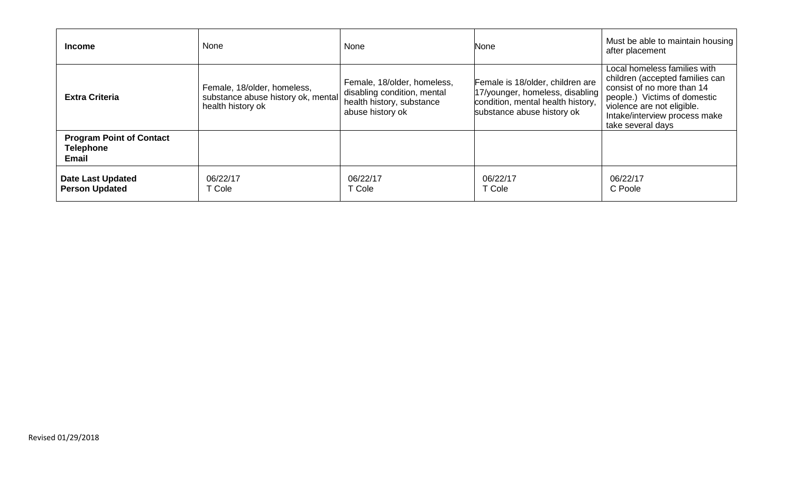| <b>Income</b>                                                       | None                                                                                   | None                                                                                                        | None                                                                                                                                   | Must be able to maintain housing<br>after placement                                                                                                                                                               |
|---------------------------------------------------------------------|----------------------------------------------------------------------------------------|-------------------------------------------------------------------------------------------------------------|----------------------------------------------------------------------------------------------------------------------------------------|-------------------------------------------------------------------------------------------------------------------------------------------------------------------------------------------------------------------|
| <b>Extra Criteria</b>                                               | Female, 18/older, homeless,<br>substance abuse history ok, mental<br>health history ok | Female, 18/older, homeless,<br>disabling condition, mental<br>health history, substance<br>abuse history ok | Female is 18/older, children are<br>17/younger, homeless, disabling<br>condition, mental health history,<br>substance abuse history ok | Local homeless families with<br>children (accepted families can<br>consist of no more than 14<br>people.) Victims of domestic<br>violence are not eligible.<br>Intake/interview process make<br>take several days |
| <b>Program Point of Contact</b><br><b>Telephone</b><br><b>Email</b> |                                                                                        |                                                                                                             |                                                                                                                                        |                                                                                                                                                                                                                   |
| <b>Date Last Updated</b><br><b>Person Updated</b>                   | 06/22/17<br><b>Cole</b>                                                                | 06/22/17<br>T Cole                                                                                          | 06/22/17<br>T Cole                                                                                                                     | 06/22/17<br>C Poole                                                                                                                                                                                               |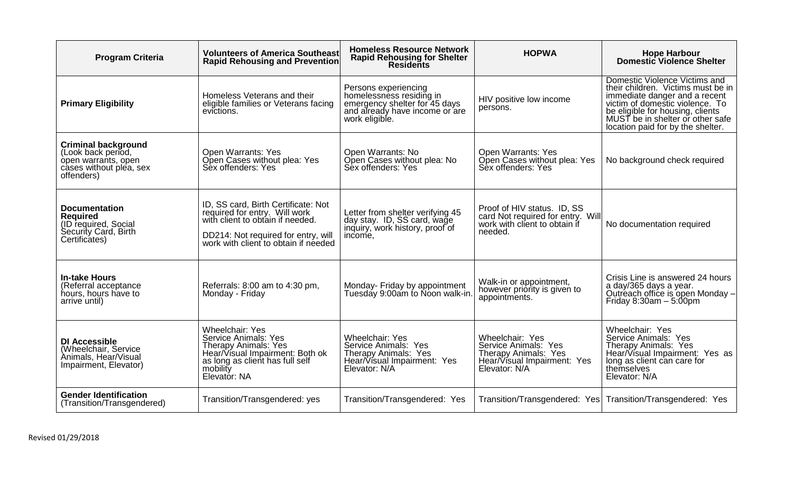| <b>Program Criteria</b>                                                                                          | <b>Volunteers of America Southeast</b><br><b>Rapid Rehousing and Prevention</b>                                                                                                         | <b>Homeless Resource Network</b><br><b>Rapid Rehousing for Shelter</b><br><b>Residents</b>                                            | <b>HOPWA</b>                                                                                                    | <b>Hope Harbour</b><br><b>Domestic Violence Shelter</b>                                                                                                                                                                                              |
|------------------------------------------------------------------------------------------------------------------|-----------------------------------------------------------------------------------------------------------------------------------------------------------------------------------------|---------------------------------------------------------------------------------------------------------------------------------------|-----------------------------------------------------------------------------------------------------------------|------------------------------------------------------------------------------------------------------------------------------------------------------------------------------------------------------------------------------------------------------|
| <b>Primary Eligibility</b>                                                                                       | Homeless Veterans and their<br>eligible families or Veterans facing<br>evictions.                                                                                                       | Persons experiencing<br>homelessness residing in<br>emergency shelter for 45 days<br>and already have income or are<br>work eligible. | HIV positive low income<br>persons.                                                                             | Domestic Violence Victims and<br>their children. Victims must be in<br>immediate danger and a recent<br>victim of domestic violence. To<br>be eligible for housing, clients<br>MUST be in shelter or other safe<br>location paid for by the shelter. |
| <b>Criminal background</b><br>(Look back period,<br>open warrants, open<br>cases without plea, sex<br>offenders) | <b>Open Warrants: Yes</b><br>Open Cases without plea: Yes<br>Sex offenders: Yes                                                                                                         | Open Warrants: No<br>Open Cases without plea: No<br>Sex offenders: Yes                                                                | <b>Open Warrants: Yes</b><br>Open Cases without plea: Yes<br>Sex offenders: Yes                                 | No background check required                                                                                                                                                                                                                         |
| <b>Documentation</b><br><b>Required</b><br>(ID required, Social<br>Security Card, Birth<br>Certificates)         | ID, SS card, Birth Certificate: Not<br>required for entry. Will work<br>with client to obtain if needed.<br>DD214: Not required for entry, will<br>work with client to obtain if needed | Letter from shelter verifying 45<br>day stay. ID, SS card, wage<br>inquiry, work history, proof of<br>income,                         | Proof of HIV status. ID, SS<br>card Not required for entry. Will<br>work with client to obtain if<br>needed.    | No documentation required                                                                                                                                                                                                                            |
| <b>In-take Hours</b><br>(Referral acceptance<br>hours, hours have to<br>arrive until)                            | Referrals: 8:00 am to 4:30 pm,<br>Monday - Friday                                                                                                                                       | Monday- Friday by appointment<br>Tuesday 9:00am to Noon walk-in.                                                                      | Walk-in or appointment,<br>however priority is given to<br>appointments.                                        | Crisis Line is answered 24 hours<br>a day/365 days a year.<br>Outreach office is open Monday -<br>Friday $8:30am - 5:00pm$                                                                                                                           |
| <b>DI Accessible</b><br>(Wheelchair, Service<br>Animals, Hear/Visual<br>Impairment, Elevator)                    | <b>Wheelchair: Yes</b><br><b>Service Animals: Yes</b><br><b>Therapy Animals: Yes</b><br>Hear/Visual Impairment: Both ok<br>as long as client has full self<br>mobility<br>Elevator: NA  | <b>Wheelchair: Yes</b><br>Service Animals: Yes<br>Therapy Animals: Yes<br>Hear/Visual Impairment: Yes<br>Elevator: N/A                | Wheelchair: Yes<br>Service Animals: Yes<br>Therapy Animals: Yes<br>Hear/Visual Impairment: Yes<br>Elevator: N/A | Wheelchair: Yes<br>Service Animals: Yes<br>Therapy Animals: Yes<br>Hear/Visual Impairment: Yes as<br>long as client can care for<br>themselves<br>Elevator: N/A                                                                                      |
| <b>Gender Identification</b><br>(Transition/Transgendered)                                                       | Transition/Transgendered: yes                                                                                                                                                           | Transition/Transgendered: Yes                                                                                                         |                                                                                                                 | Transition/Transgendered: Yes   Transition/Transgendered: Yes                                                                                                                                                                                        |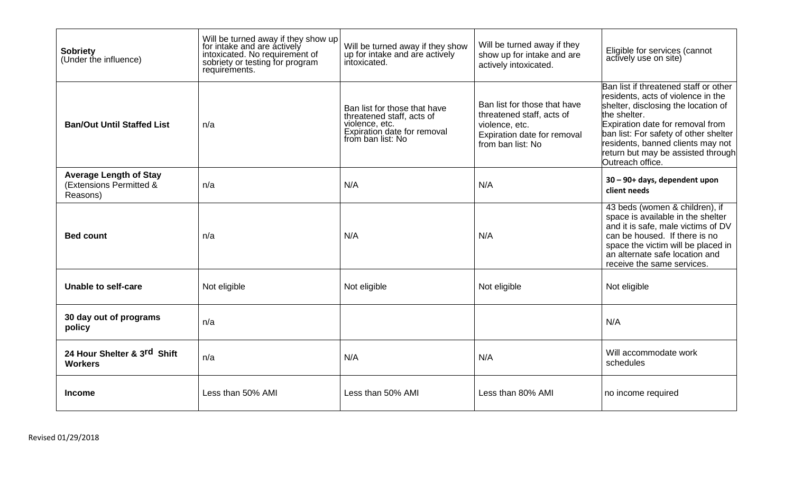| <b>Sobriety</b><br>(Under the influence)                             | Will be turned away if they show up<br>for intake and are actively<br>intoxicated. No requirement of<br>sobriety or testing for program<br>requirements. | Will be turned away if they show<br>up for intake and are actively<br>intoxicated.                                              | Will be turned away if they<br>show up for intake and are<br>actively intoxicated.                                              | Eligible for services (cannot<br>actively use on site)                                                                                                                                                                                                                                                         |
|----------------------------------------------------------------------|----------------------------------------------------------------------------------------------------------------------------------------------------------|---------------------------------------------------------------------------------------------------------------------------------|---------------------------------------------------------------------------------------------------------------------------------|----------------------------------------------------------------------------------------------------------------------------------------------------------------------------------------------------------------------------------------------------------------------------------------------------------------|
| <b>Ban/Out Until Staffed List</b>                                    | n/a                                                                                                                                                      | Ban list for those that have<br>threatened staff, acts of<br>violence, etc.<br>Expiration date for removal<br>from ban list: No | Ban list for those that have<br>threatened staff, acts of<br>violence, etc.<br>Expiration date for removal<br>from ban list: No | Ban list if threatened staff or other<br>residents, acts of violence in the<br>shelter, disclosing the location of<br>the shelter.<br>Expiration date for removal from<br>ban list: For safety of other shelter<br>residents, banned clients may not<br>return but may be assisted through<br>Outreach office. |
| <b>Average Length of Stay</b><br>(Extensions Permitted &<br>Reasons) | n/a                                                                                                                                                      | N/A                                                                                                                             | N/A                                                                                                                             | 30 - 90+ days, dependent upon<br>client needs                                                                                                                                                                                                                                                                  |
| <b>Bed count</b>                                                     | n/a                                                                                                                                                      | N/A                                                                                                                             | N/A                                                                                                                             | 43 beds (women & children), if<br>space is available in the shelter<br>and it is safe, male victims of DV<br>can be housed. If there is no<br>space the victim will be placed in<br>an alternate safe location and<br>receive the same services.                                                               |
| Unable to self-care                                                  | Not eligible                                                                                                                                             | Not eligible                                                                                                                    | Not eligible                                                                                                                    | Not eligible                                                                                                                                                                                                                                                                                                   |
| 30 day out of programs<br>policy                                     | n/a                                                                                                                                                      |                                                                                                                                 |                                                                                                                                 | N/A                                                                                                                                                                                                                                                                                                            |
| 24 Hour Shelter & 3rd Shift<br><b>Workers</b>                        | n/a                                                                                                                                                      | N/A                                                                                                                             | N/A                                                                                                                             | Will accommodate work<br>schedules                                                                                                                                                                                                                                                                             |
| <b>Income</b>                                                        | Less than 50% AMI                                                                                                                                        | Less than 50% AMI                                                                                                               | Less than 80% AMI                                                                                                               | no income required                                                                                                                                                                                                                                                                                             |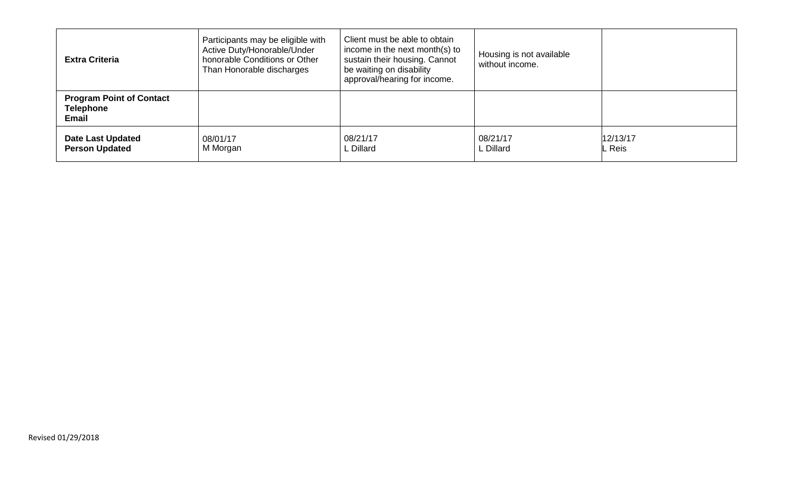| <b>Extra Criteria</b>                                               | Participants may be eligible with<br>Active Duty/Honorable/Under<br>honorable Conditions or Other<br>Than Honorable discharges | Client must be able to obtain<br>income in the next month(s) to<br>sustain their housing. Cannot<br>be waiting on disability<br>approval/hearing for income. | Housing is not available<br>without income. |                    |
|---------------------------------------------------------------------|--------------------------------------------------------------------------------------------------------------------------------|--------------------------------------------------------------------------------------------------------------------------------------------------------------|---------------------------------------------|--------------------|
| <b>Program Point of Contact</b><br><b>Telephone</b><br><b>Email</b> |                                                                                                                                |                                                                                                                                                              |                                             |                    |
| <b>Date Last Updated</b><br><b>Person Updated</b>                   | 08/01/17<br>M Morgan                                                                                                           | 08/21/17<br>L Dillard                                                                                                                                        | 08/21/17<br>L Dillard                       | 12/13/17<br>. Reis |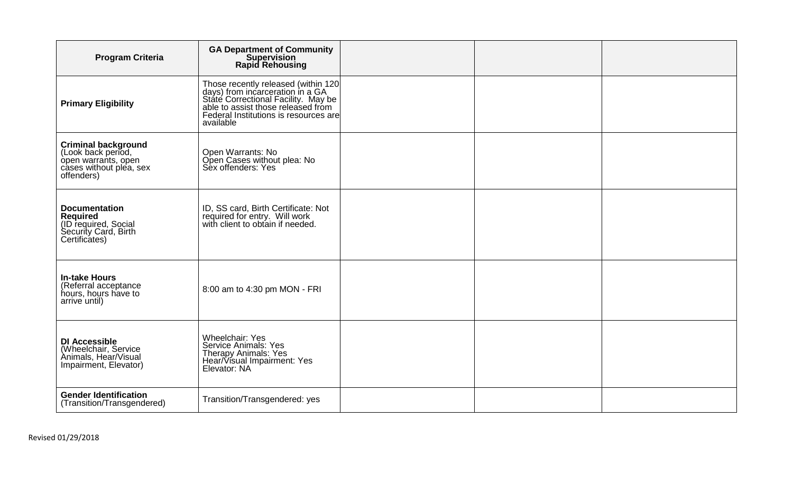| <b>Program Criteria</b>                                                                                          | <b>GA Department of Community<br/>Supervision</b><br><b>Rapid Rehousing</b>                                                                                                                                |  |  |
|------------------------------------------------------------------------------------------------------------------|------------------------------------------------------------------------------------------------------------------------------------------------------------------------------------------------------------|--|--|
| <b>Primary Eligibility</b>                                                                                       | Those recently released (within 120<br>days) from incarceration in a GA<br>State Correctional Facility. May be<br>able to assist those released from<br>Federal Institutions is resources are<br>available |  |  |
| <b>Criminal background</b><br>(Look back period,<br>open warrants, open<br>cases without plea, sex<br>offenders) | Open Warrants: No<br>Open Cases without plea: No<br>Sex offenders: Yes                                                                                                                                     |  |  |
| <b>Documentation</b><br><b>Required</b><br>(ID required, Social<br>Security Card, Birth<br>Certificates)         | ID, SS card, Birth Certificate: Not<br>required for entry. Will work<br>with client to obtain if needed.                                                                                                   |  |  |
| <b>In-take Hours</b><br>(Referral acceptance<br>hours, hours have to<br>arrive until)                            | 8:00 am to 4:30 pm MON - FRI                                                                                                                                                                               |  |  |
| <b>DI Accessible</b><br>(Wheelchair, Service<br>Animals, Hear/Visual<br>Impairment, Elevator)                    | <b>Wheelchair: Yes</b><br>Service Animals: Yes<br>Therapy Animals: Yes<br>Hear/Visual Impairment: Yes<br>Elevator: NA                                                                                      |  |  |
| <b>Gender Identification</b><br>(Transition/Transgendered)                                                       | Transition/Transgendered: yes                                                                                                                                                                              |  |  |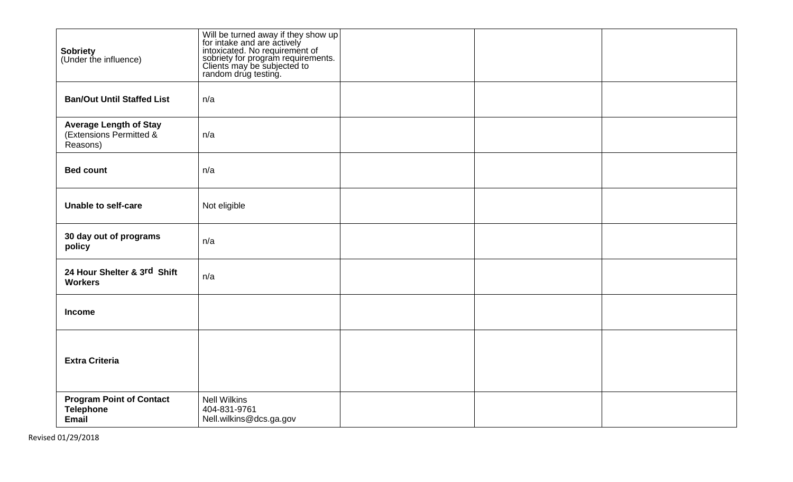| <b>Sobriety</b><br>(Under the influence)                             | Will be turned away if they show up<br>for intake and are actively<br>intoxicated. No requirement of<br>sobriety for program requirements.<br>Clients may be subjected to<br>random drug testing. |  |  |
|----------------------------------------------------------------------|---------------------------------------------------------------------------------------------------------------------------------------------------------------------------------------------------|--|--|
| <b>Ban/Out Until Staffed List</b>                                    | n/a                                                                                                                                                                                               |  |  |
| <b>Average Length of Stay</b><br>(Extensions Permitted &<br>Reasons) | n/a                                                                                                                                                                                               |  |  |
| <b>Bed count</b>                                                     | n/a                                                                                                                                                                                               |  |  |
| <b>Unable to self-care</b>                                           | Not eligible                                                                                                                                                                                      |  |  |
| 30 day out of programs<br>policy                                     | n/a                                                                                                                                                                                               |  |  |
| 24 Hour Shelter & 3rd Shift<br><b>Workers</b>                        | n/a                                                                                                                                                                                               |  |  |
| <b>Income</b>                                                        |                                                                                                                                                                                                   |  |  |
| <b>Extra Criteria</b>                                                |                                                                                                                                                                                                   |  |  |
| <b>Program Point of Contact</b><br><b>Telephone</b><br>Email         | <b>Nell Wilkins</b><br>404-831-9761<br>Nell.wilkins@dcs.ga.gov                                                                                                                                    |  |  |